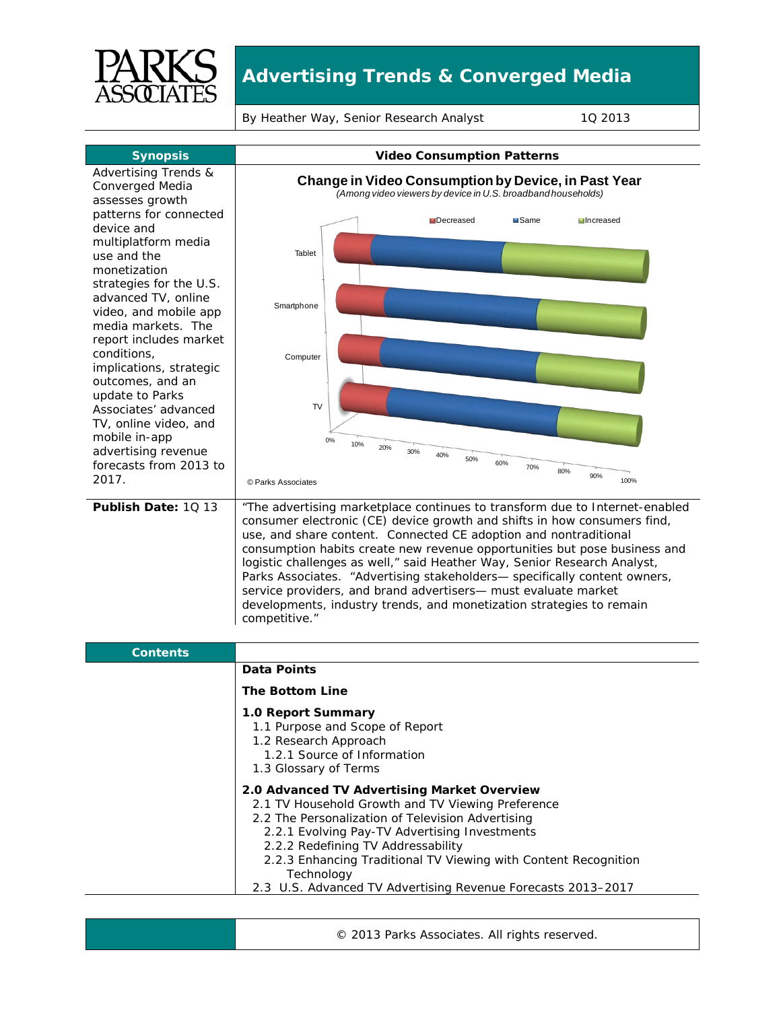

## **Advertising Trends & Converged Media**

By Heather Way, Senior Research Analyst 10 2013



© 2013 Parks Associates. All rights reserved.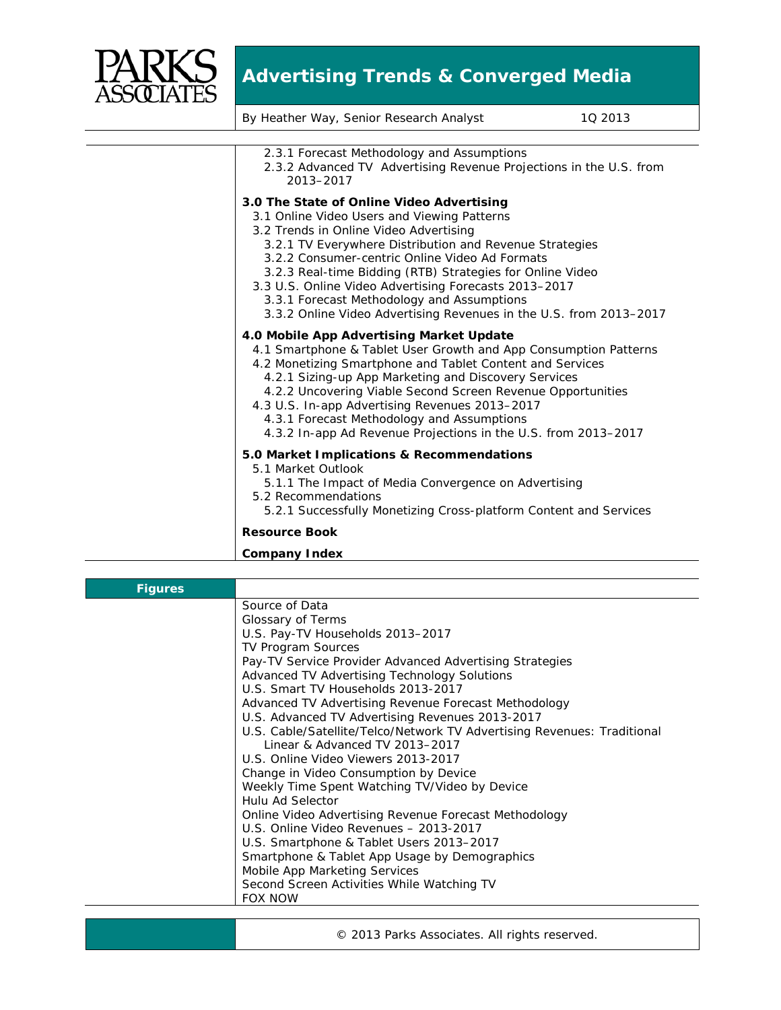

## **Advertising Trends & Converged Media**

| By Heather Way, Senior Research Analyst                                                                                                                                                                                                                                                                                                                                                                                                                                                   | 10 2013 |
|-------------------------------------------------------------------------------------------------------------------------------------------------------------------------------------------------------------------------------------------------------------------------------------------------------------------------------------------------------------------------------------------------------------------------------------------------------------------------------------------|---------|
|                                                                                                                                                                                                                                                                                                                                                                                                                                                                                           |         |
| 2.3.1 Forecast Methodology and Assumptions<br>2.3.2 Advanced TV Advertising Revenue Projections in the U.S. from<br>2013-2017                                                                                                                                                                                                                                                                                                                                                             |         |
| 3.0 The State of Online Video Advertising<br>3.1 Online Video Users and Viewing Patterns<br>3.2 Trends in Online Video Advertising<br>3.2.1 TV Everywhere Distribution and Revenue Strategies<br>3.2.2 Consumer-centric Online Video Ad Formats<br>3.2.3 Real-time Bidding (RTB) Strategies for Online Video<br>3.3 U.S. Online Video Advertising Forecasts 2013-2017<br>3.3.1 Forecast Methodology and Assumptions<br>3.3.2 Online Video Advertising Revenues in the U.S. from 2013-2017 |         |
| 4.0 Mobile App Advertising Market Update<br>4.1 Smartphone & Tablet User Growth and App Consumption Patterns<br>4.2 Monetizing Smartphone and Tablet Content and Services<br>4.2.1 Sizing-up App Marketing and Discovery Services<br>4.2.2 Uncovering Viable Second Screen Revenue Opportunities<br>4.3 U.S. In-app Advertising Revenues 2013-2017<br>4.3.1 Forecast Methodology and Assumptions<br>4.3.2 In-app Ad Revenue Projections in the U.S. from 2013-2017                        |         |
| 5.0 Market Implications & Recommendations<br>5.1 Market Outlook<br>5.1.1 The Impact of Media Convergence on Advertising<br>5.2 Recommendations<br>5.2.1 Successfully Monetizing Cross-platform Content and Services                                                                                                                                                                                                                                                                       |         |
| <b>Resource Book</b>                                                                                                                                                                                                                                                                                                                                                                                                                                                                      |         |
| <b>Company Index</b>                                                                                                                                                                                                                                                                                                                                                                                                                                                                      |         |

| <b>Figures</b> |                                                                                                           |
|----------------|-----------------------------------------------------------------------------------------------------------|
|                | Source of Data                                                                                            |
|                | Glossary of Terms                                                                                         |
|                | U.S. Pay-TV Households 2013-2017                                                                          |
|                | <b>TV Program Sources</b>                                                                                 |
|                | Pay-TV Service Provider Advanced Advertising Strategies                                                   |
|                | Advanced TV Advertising Technology Solutions                                                              |
|                | U.S. Smart TV Households 2013-2017                                                                        |
|                | Advanced TV Advertising Revenue Forecast Methodology                                                      |
|                | U.S. Advanced TV Advertising Revenues 2013-2017                                                           |
|                | U.S. Cable/Satellite/Telco/Network TV Advertising Revenues: Traditional<br>Linear & Advanced TV 2013-2017 |
|                | U.S. Online Video Viewers 2013-2017                                                                       |
|                | Change in Video Consumption by Device                                                                     |
|                | Weekly Time Spent Watching TV/Video by Device                                                             |
|                | Hulu Ad Selector                                                                                          |
|                | Online Video Advertising Revenue Forecast Methodology                                                     |
|                | U.S. Online Video Revenues - 2013-2017                                                                    |
|                | U.S. Smartphone & Tablet Users 2013-2017                                                                  |
|                | Smartphone & Tablet App Usage by Demographics                                                             |
|                | Mobile App Marketing Services                                                                             |
|                | Second Screen Activities While Watching TV                                                                |
|                | <b>FOX NOW</b>                                                                                            |

© 2013 Parks Associates. All rights reserved.